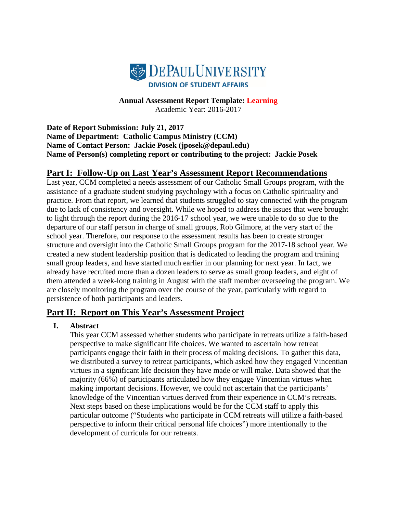

**Annual Assessment Report Template: Learning** Academic Year: 2016-2017

**Date of Report Submission: July 21, 2017 Name of Department: Catholic Campus Ministry (CCM) Name of Contact Person: Jackie Posek (jposek@depaul.edu) Name of Person(s) completing report or contributing to the project: Jackie Posek**

# **Part I: Follow-Up on Last Year's Assessment Report Recommendations**

Last year, CCM completed a needs assessment of our Catholic Small Groups program, with the assistance of a graduate student studying psychology with a focus on Catholic spirituality and practice. From that report, we learned that students struggled to stay connected with the program due to lack of consistency and oversight. While we hoped to address the issues that were brought to light through the report during the 2016-17 school year, we were unable to do so due to the departure of our staff person in charge of small groups, Rob Gilmore, at the very start of the school year. Therefore, our response to the assessment results has been to create stronger structure and oversight into the Catholic Small Groups program for the 2017-18 school year. We created a new student leadership position that is dedicated to leading the program and training small group leaders, and have started much earlier in our planning for next year. In fact, we already have recruited more than a dozen leaders to serve as small group leaders, and eight of them attended a week-long training in August with the staff member overseeing the program. We are closely monitoring the program over the course of the year, particularly with regard to persistence of both participants and leaders.

# **Part II: Report on This Year's Assessment Project**

## **I. Abstract**

This year CCM assessed whether students who participate in retreats utilize a faith-based perspective to make significant life choices. We wanted to ascertain how retreat participants engage their faith in their process of making decisions. To gather this data, we distributed a survey to retreat participants, which asked how they engaged Vincentian virtues in a significant life decision they have made or will make. Data showed that the majority (66%) of participants articulated how they engage Vincentian virtues when making important decisions. However, we could not ascertain that the participants' knowledge of the Vincentian virtues derived from their experience in CCM's retreats. Next steps based on these implications would be for the CCM staff to apply this particular outcome ("Students who participate in CCM retreats will utilize a faith-based perspective to inform their critical personal life choices") more intentionally to the development of curricula for our retreats.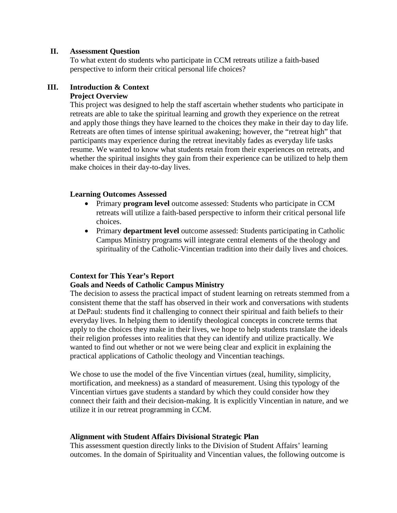## **II. Assessment Question**

To what extent do students who participate in CCM retreats utilize a faith-based perspective to inform their critical personal life choices?

## **III. Introduction & Context**

## **Project Overview**

This project was designed to help the staff ascertain whether students who participate in retreats are able to take the spiritual learning and growth they experience on the retreat and apply those things they have learned to the choices they make in their day to day life. Retreats are often times of intense spiritual awakening; however, the "retreat high" that participants may experience during the retreat inevitably fades as everyday life tasks resume. We wanted to know what students retain from their experiences on retreats, and whether the spiritual insights they gain from their experience can be utilized to help them make choices in their day-to-day lives.

## **Learning Outcomes Assessed**

- Primary **program level** outcome assessed: Students who participate in CCM retreats will utilize a faith-based perspective to inform their critical personal life choices.
- Primary **department level** outcome assessed: Students participating in Catholic Campus Ministry programs will integrate central elements of the theology and spirituality of the Catholic-Vincentian tradition into their daily lives and choices.

## **Context for This Year's Report**

## **Goals and Needs of Catholic Campus Ministry**

The decision to assess the practical impact of student learning on retreats stemmed from a consistent theme that the staff has observed in their work and conversations with students at DePaul: students find it challenging to connect their spiritual and faith beliefs to their everyday lives. In helping them to identify theological concepts in concrete terms that apply to the choices they make in their lives, we hope to help students translate the ideals their religion professes into realities that they can identify and utilize practically. We wanted to find out whether or not we were being clear and explicit in explaining the practical applications of Catholic theology and Vincentian teachings.

We chose to use the model of the five Vincentian virtues (zeal, humility, simplicity, mortification, and meekness) as a standard of measurement. Using this typology of the Vincentian virtues gave students a standard by which they could consider how they connect their faith and their decision-making. It is explicitly Vincentian in nature, and we utilize it in our retreat programming in CCM.

## **Alignment with Student Affairs Divisional Strategic Plan**

This assessment question directly links to the Division of Student Affairs' learning outcomes. In the domain of Spirituality and Vincentian values, the following outcome is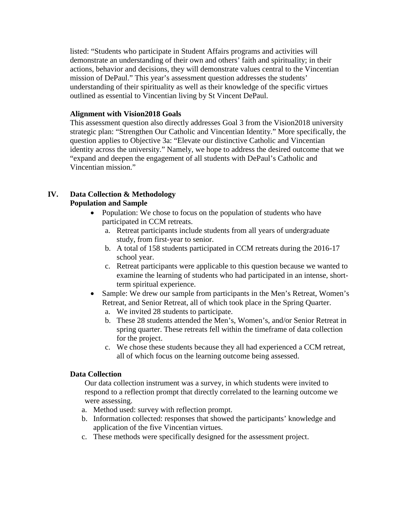listed: "Students who participate in Student Affairs programs and activities will demonstrate an understanding of their own and others' faith and spirituality; in their actions, behavior and decisions, they will demonstrate values central to the Vincentian mission of DePaul." This year's assessment question addresses the students' understanding of their spirituality as well as their knowledge of the specific virtues outlined as essential to Vincentian living by St Vincent DePaul.

## **Alignment with Vision2018 Goals**

This assessment question also directly addresses Goal 3 from the Vision2018 university strategic plan: "Strengthen Our Catholic and Vincentian Identity." More specifically, the question applies to Objective 3a: "Elevate our distinctive Catholic and Vincentian identity across the university." Namely, we hope to address the desired outcome that we "expand and deepen the engagement of all students with DePaul's Catholic and Vincentian mission."

## **IV. Data Collection & Methodology Population and Sample**

- Population: We chose to focus on the population of students who have participated in CCM retreats.
	- a. Retreat participants include students from all years of undergraduate study, from first-year to senior.
	- b. A total of 158 students participated in CCM retreats during the 2016-17 school year.
	- c. Retreat participants were applicable to this question because we wanted to examine the learning of students who had participated in an intense, shortterm spiritual experience.
- Sample: We drew our sample from participants in the Men's Retreat, Women's Retreat, and Senior Retreat, all of which took place in the Spring Quarter.
	- a. We invited 28 students to participate.
	- b. These 28 students attended the Men's, Women's, and/or Senior Retreat in spring quarter. These retreats fell within the timeframe of data collection for the project.
	- c. We chose these students because they all had experienced a CCM retreat, all of which focus on the learning outcome being assessed.

## **Data Collection**

Our data collection instrument was a survey, in which students were invited to respond to a reflection prompt that directly correlated to the learning outcome we were assessing.

- a. Method used: survey with reflection prompt.
- b. Information collected: responses that showed the participants' knowledge and application of the five Vincentian virtues.
- c. These methods were specifically designed for the assessment project.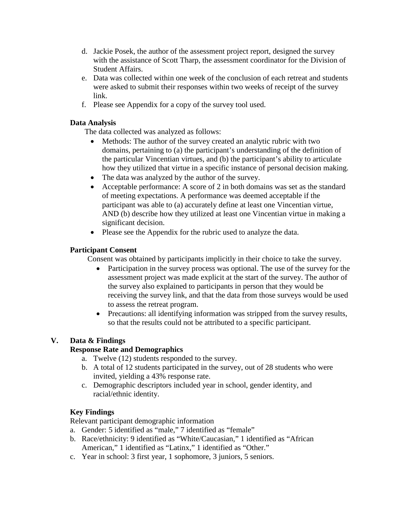- d. Jackie Posek, the author of the assessment project report, designed the survey with the assistance of Scott Tharp, the assessment coordinator for the Division of Student Affairs.
- e. Data was collected within one week of the conclusion of each retreat and students were asked to submit their responses within two weeks of receipt of the survey link.
- f. Please see Appendix for a copy of the survey tool used.

## **Data Analysis**

The data collected was analyzed as follows:

- Methods: The author of the survey created an analytic rubric with two domains, pertaining to (a) the participant's understanding of the definition of the particular Vincentian virtues, and (b) the participant's ability to articulate how they utilized that virtue in a specific instance of personal decision making.
- The data was analyzed by the author of the survey.
- Acceptable performance: A score of 2 in both domains was set as the standard of meeting expectations. A performance was deemed acceptable if the participant was able to (a) accurately define at least one Vincentian virtue, AND (b) describe how they utilized at least one Vincentian virtue in making a significant decision.
- Please see the Appendix for the rubric used to analyze the data.

## **Participant Consent**

Consent was obtained by participants implicitly in their choice to take the survey.

- Participation in the survey process was optional. The use of the survey for the assessment project was made explicit at the start of the survey. The author of the survey also explained to participants in person that they would be receiving the survey link, and that the data from those surveys would be used to assess the retreat program.
- Precautions: all identifying information was stripped from the survey results, so that the results could not be attributed to a specific participant.

# **V. Data & Findings**

# **Response Rate and Demographics**

- a. Twelve (12) students responded to the survey.
- b. A total of 12 students participated in the survey, out of 28 students who were invited, yielding a 43% response rate.
- c. Demographic descriptors included year in school, gender identity, and racial/ethnic identity.

# **Key Findings**

Relevant participant demographic information

- a. Gender: 5 identified as "male," 7 identified as "female"
- b. Race/ethnicity: 9 identified as "White/Caucasian," 1 identified as "African American," 1 identified as "Latinx," 1 identified as "Other."
- c. Year in school: 3 first year, 1 sophomore, 3 juniors, 5 seniors.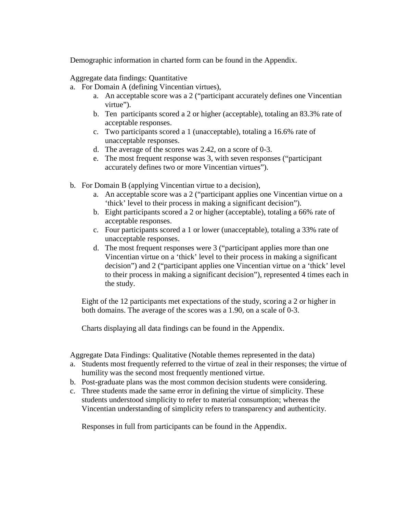Demographic information in charted form can be found in the Appendix.

Aggregate data findings: Quantitative

- a. For Domain A (defining Vincentian virtues),
	- a. An acceptable score was a 2 ("participant accurately defines one Vincentian virtue").
	- b. Ten participants scored a 2 or higher (acceptable), totaling an 83.3% rate of acceptable responses.
	- c. Two participants scored a 1 (unacceptable), totaling a 16.6% rate of unacceptable responses.
	- d. The average of the scores was 2.42, on a score of 0-3.
	- e. The most frequent response was 3, with seven responses ("participant accurately defines two or more Vincentian virtues").
- b. For Domain B (applying Vincentian virtue to a decision),
	- a. An acceptable score was a 2 ("participant applies one Vincentian virtue on a 'thick' level to their process in making a significant decision").
	- b. Eight participants scored a 2 or higher (acceptable), totaling a 66% rate of acceptable responses.
	- c. Four participants scored a 1 or lower (unacceptable), totaling a 33% rate of unacceptable responses.
	- d. The most frequent responses were 3 ("participant applies more than one Vincentian virtue on a 'thick' level to their process in making a significant decision") and 2 ("participant applies one Vincentian virtue on a 'thick' level to their process in making a significant decision"), represented 4 times each in the study.

Eight of the 12 participants met expectations of the study, scoring a 2 or higher in both domains. The average of the scores was a 1.90, on a scale of 0-3.

Charts displaying all data findings can be found in the Appendix.

Aggregate Data Findings: Qualitative (Notable themes represented in the data)

- a. Students most frequently referred to the virtue of zeal in their responses; the virtue of humility was the second most frequently mentioned virtue.
- b. Post-graduate plans was the most common decision students were considering.
- c. Three students made the same error in defining the virtue of simplicity. These students understood simplicity to refer to material consumption; whereas the Vincentian understanding of simplicity refers to transparency and authenticity.

Responses in full from participants can be found in the Appendix.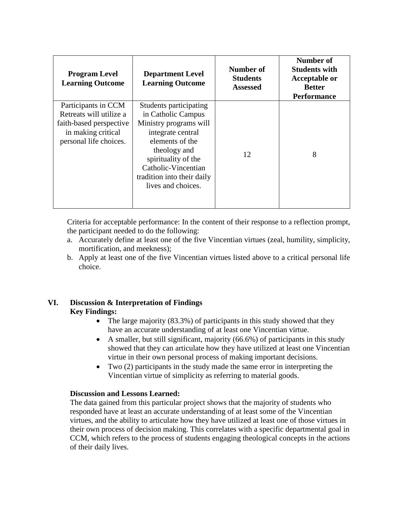| <b>Program Level</b><br><b>Learning Outcome</b>                                                                           | <b>Department Level</b><br><b>Learning Outcome</b>                                                                                                                                                                               | Number of<br><b>Students</b><br><b>Assessed</b> | Number of<br><b>Students with</b><br><b>Acceptable or</b><br><b>Better</b><br><b>Performance</b> |
|---------------------------------------------------------------------------------------------------------------------------|----------------------------------------------------------------------------------------------------------------------------------------------------------------------------------------------------------------------------------|-------------------------------------------------|--------------------------------------------------------------------------------------------------|
| Participants in CCM<br>Retreats will utilize a<br>faith-based perspective<br>in making critical<br>personal life choices. | Students participating<br>in Catholic Campus<br>Ministry programs will<br>integrate central<br>elements of the<br>theology and<br>spirituality of the<br>Catholic-Vincentian<br>tradition into their daily<br>lives and choices. | 12                                              | 8                                                                                                |

Criteria for acceptable performance: In the content of their response to a reflection prompt, the participant needed to do the following:

- a. Accurately define at least one of the five Vincentian virtues (zeal, humility, simplicity, mortification, and meekness);
- b. Apply at least one of the five Vincentian virtues listed above to a critical personal life choice.

## **VI. Discussion & Interpretation of Findings Key Findings:**

- The large majority (83.3%) of participants in this study showed that they have an accurate understanding of at least one Vincentian virtue.
- A smaller, but still significant, majority (66.6%) of participants in this study showed that they can articulate how they have utilized at least one Vincentian virtue in their own personal process of making important decisions.
- Two (2) participants in the study made the same error in interpreting the Vincentian virtue of simplicity as referring to material goods.

## **Discussion and Lessons Learned:**

The data gained from this particular project shows that the majority of students who responded have at least an accurate understanding of at least some of the Vincentian virtues, and the ability to articulate how they have utilized at least one of those virtues in their own process of decision making. This correlates with a specific departmental goal in CCM, which refers to the process of students engaging theological concepts in the actions of their daily lives.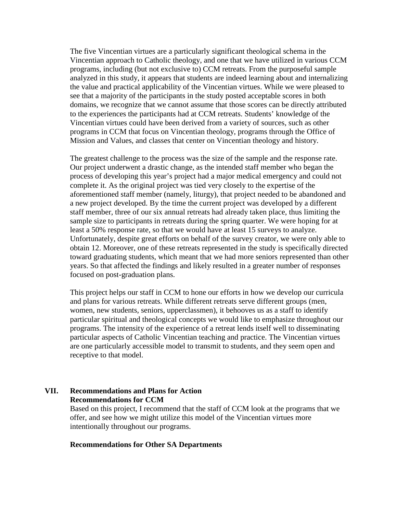The five Vincentian virtues are a particularly significant theological schema in the Vincentian approach to Catholic theology, and one that we have utilized in various CCM programs, including (but not exclusive to) CCM retreats. From the purposeful sample analyzed in this study, it appears that students are indeed learning about and internalizing the value and practical applicability of the Vincentian virtues. While we were pleased to see that a majority of the participants in the study posted acceptable scores in both domains, we recognize that we cannot assume that those scores can be directly attributed to the experiences the participants had at CCM retreats. Students' knowledge of the Vincentian virtues could have been derived from a variety of sources, such as other programs in CCM that focus on Vincentian theology, programs through the Office of Mission and Values, and classes that center on Vincentian theology and history.

The greatest challenge to the process was the size of the sample and the response rate. Our project underwent a drastic change, as the intended staff member who began the process of developing this year's project had a major medical emergency and could not complete it. As the original project was tied very closely to the expertise of the aforementioned staff member (namely, liturgy), that project needed to be abandoned and a new project developed. By the time the current project was developed by a different staff member, three of our six annual retreats had already taken place, thus limiting the sample size to participants in retreats during the spring quarter. We were hoping for at least a 50% response rate, so that we would have at least 15 surveys to analyze. Unfortunately, despite great efforts on behalf of the survey creator, we were only able to obtain 12. Moreover, one of these retreats represented in the study is specifically directed toward graduating students, which meant that we had more seniors represented than other years. So that affected the findings and likely resulted in a greater number of responses focused on post-graduation plans.

This project helps our staff in CCM to hone our efforts in how we develop our curricula and plans for various retreats. While different retreats serve different groups (men, women, new students, seniors, upperclassmen), it behooves us as a staff to identify particular spiritual and theological concepts we would like to emphasize throughout our programs. The intensity of the experience of a retreat lends itself well to disseminating particular aspects of Catholic Vincentian teaching and practice. The Vincentian virtues are one particularly accessible model to transmit to students, and they seem open and receptive to that model.

## **VII. Recommendations and Plans for Action Recommendations for CCM**

Based on this project, I recommend that the staff of CCM look at the programs that we offer, and see how we might utilize this model of the Vincentian virtues more intentionally throughout our programs.

## **Recommendations for Other SA Departments**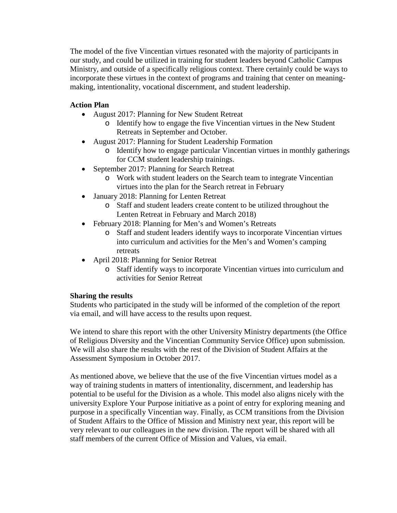The model of the five Vincentian virtues resonated with the majority of participants in our study, and could be utilized in training for student leaders beyond Catholic Campus Ministry, and outside of a specifically religious context. There certainly could be ways to incorporate these virtues in the context of programs and training that center on meaningmaking, intentionality, vocational discernment, and student leadership.

## **Action Plan**

- August 2017: Planning for New Student Retreat
	- o Identify how to engage the five Vincentian virtues in the New Student Retreats in September and October.
- August 2017: Planning for Student Leadership Formation
	- o Identify how to engage particular Vincentian virtues in monthly gatherings for CCM student leadership trainings.
- September 2017: Planning for Search Retreat
	- o Work with student leaders on the Search team to integrate Vincentian virtues into the plan for the Search retreat in February
- January 2018: Planning for Lenten Retreat
	- o Staff and student leaders create content to be utilized throughout the Lenten Retreat in February and March 2018)
- February 2018: Planning for Men's and Women's Retreats
	- o Staff and student leaders identify ways to incorporate Vincentian virtues into curriculum and activities for the Men's and Women's camping retreats
- April 2018: Planning for Senior Retreat
	- o Staff identify ways to incorporate Vincentian virtues into curriculum and activities for Senior Retreat

## **Sharing the results**

Students who participated in the study will be informed of the completion of the report via email, and will have access to the results upon request.

We intend to share this report with the other University Ministry departments (the Office of Religious Diversity and the Vincentian Community Service Office) upon submission. We will also share the results with the rest of the Division of Student Affairs at the Assessment Symposium in October 2017.

As mentioned above, we believe that the use of the five Vincentian virtues model as a way of training students in matters of intentionality, discernment, and leadership has potential to be useful for the Division as a whole. This model also aligns nicely with the university Explore Your Purpose initiative as a point of entry for exploring meaning and purpose in a specifically Vincentian way. Finally, as CCM transitions from the Division of Student Affairs to the Office of Mission and Ministry next year, this report will be very relevant to our colleagues in the new division. The report will be shared with all staff members of the current Office of Mission and Values, via email.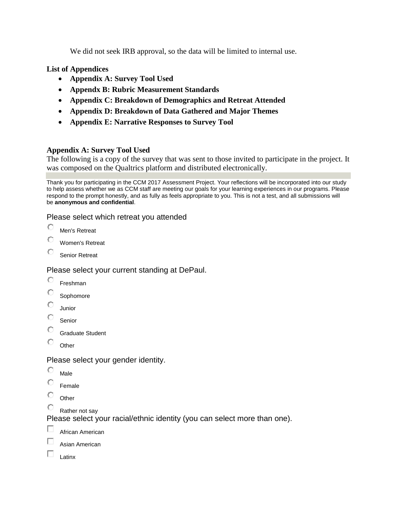We did not seek IRB approval, so the data will be limited to internal use.

**List of Appendices**

- **Appendix A: Survey Tool Used**
- **Appendx B: Rubric Measurement Standards**
- **Appendix C: Breakdown of Demographics and Retreat Attended**
- **Appendix D: Breakdown of Data Gathered and Major Themes**
- **Appendix E: Narrative Responses to Survey Tool**

## **Appendix A: Survey Tool Used**

The following is a copy of the survey that was sent to those invited to participate in the project. It was composed on the Qualtrics platform and distributed electronically.

Thank you for participating in the CCM 2017 Assessment Project. Your reflections will be incorporated into our study to help assess whether we as CCM staff are meeting our goals for your learning experiences in our programs. Please respond to the prompt honestly, and as fully as feels appropriate to you. This is not a test, and all submissions will be **anonymous and confidential**.

## Please select which retreat you attended

O Men's Retreat

- Ō Women's Retreat
- О Senior Retreat

## Please select your current standing at DePaul.

- О Freshman
- О Sophomore
- О Junior
- О Senior
- О Graduate Student
- О **Other**

Please select your gender identity.

- О Male
- Ō Female
- О **Other**
- Rather not say

Please select your racial/ethnic identity (you can select more than one).

- o African American
- п Asian American
- п Latinx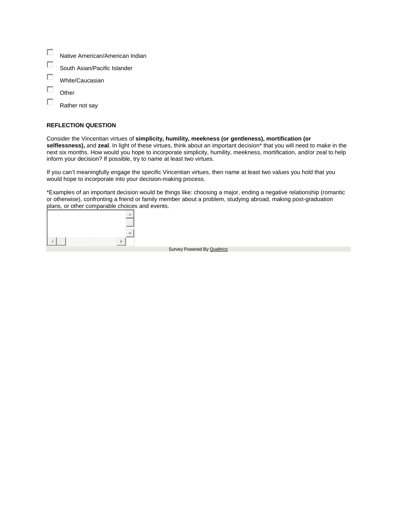- $\overline{\phantom{a}}$ Native American/American Indian
- $\overline{\phantom{a}}$ South Asian/Pacific Islander
- $\mathcal{L}_{\mathcal{L}}$ White/Caucasian
- T **Other**
- $\overline{\phantom{a}}$ Rather not say

#### **REFLECTION QUESTION**

Consider the Vincentian virtues of **simplicity, humility, meekness (or gentleness), mortification (or selflessness),** and **zeal**. In light of these virtues, think about an important decision\* that you will need to make in the next six months. How would you hope to incorporate simplicity, humility, meekness, mortification, and/or zeal to help inform your decision? If possible, try to name at least two virtues.

If you can't meaningfully engage the specific Vincentian virtues, then name at least two values you hold that you would hope to incorporate into your decision-making process.

\*Examples of an important decision would be things like: choosing a major, ending a negative relationship (romantic or otherwise), confronting a friend or family member about a problem, studying abroad, making post-graduation plans, or other comparable choices and events.

| ,,,,,,,,,,,,,,,,,,,,,,,,,,,,,,,,<br>.<br>œ<br>v |  |
|-------------------------------------------------|--|

Survey Powered By [Qualtrics](http://www.qualtrics.com/)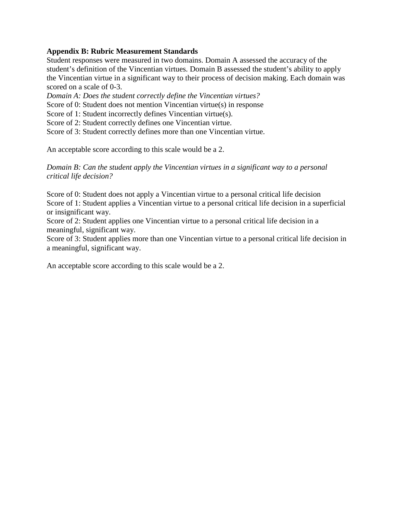## **Appendix B: Rubric Measurement Standards**

Student responses were measured in two domains. Domain A assessed the accuracy of the student's definition of the Vincentian virtues. Domain B assessed the student's ability to apply the Vincentian virtue in a significant way to their process of decision making. Each domain was scored on a scale of 0-3.

*Domain A: Does the student correctly define the Vincentian virtues?*

Score of 0: Student does not mention Vincentian virtue(s) in response

Score of 1: Student incorrectly defines Vincentian virtue(s).

Score of 2: Student correctly defines one Vincentian virtue.

Score of 3: Student correctly defines more than one Vincentian virtue.

An acceptable score according to this scale would be a 2.

*Domain B: Can the student apply the Vincentian virtues in a significant way to a personal critical life decision?*

Score of 0: Student does not apply a Vincentian virtue to a personal critical life decision Score of 1: Student applies a Vincentian virtue to a personal critical life decision in a superficial or insignificant way.

Score of 2: Student applies one Vincentian virtue to a personal critical life decision in a meaningful, significant way.

Score of 3: Student applies more than one Vincentian virtue to a personal critical life decision in a meaningful, significant way.

An acceptable score according to this scale would be a 2.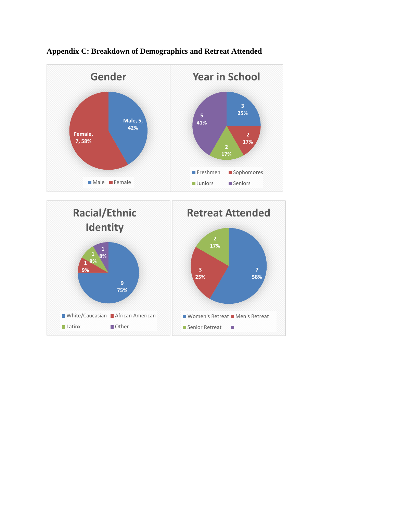



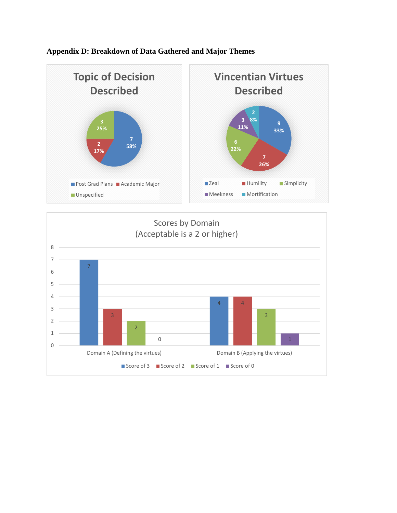

## **Appendix D: Breakdown of Data Gathered and Major Themes**

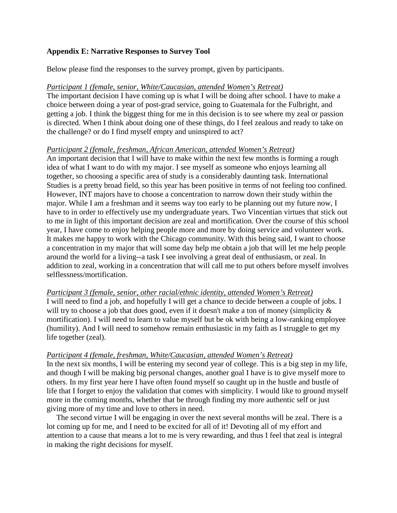## **Appendix E: Narrative Responses to Survey Tool**

Below please find the responses to the survey prompt, given by participants.

## *Participant 1 (female, senior, White/Caucasian, attended Women's Retreat)*

The important decision I have coming up is what I will be doing after school. I have to make a choice between doing a year of post-grad service, going to Guatemala for the Fulbright, and getting a job. I think the biggest thing for me in this decision is to see where my zeal or passion is directed. When I think about doing one of these things, do I feel zealous and ready to take on the challenge? or do I find myself empty and uninspired to act?

## *Participant 2 (female, freshman, African American, attended Women's Retreat)*

An important decision that I will have to make within the next few months is forming a rough idea of what I want to do with my major. I see myself as someone who enjoys learning all together, so choosing a specific area of study is a considerably daunting task. International Studies is a pretty broad field, so this year has been positive in terms of not feeling too confined. However, INT majors have to choose a concentration to narrow down their study within the major. While I am a freshman and it seems way too early to be planning out my future now, I have to in order to effectively use my undergraduate years. Two Vincentian virtues that stick out to me in light of this important decision are zeal and mortification. Over the course of this school year, I have come to enjoy helping people more and more by doing service and volunteer work. It makes me happy to work with the Chicago community. With this being said, I want to choose a concentration in my major that will some day help me obtain a job that will let me help people around the world for a living--a task I see involving a great deal of enthusiasm, or zeal. In addition to zeal, working in a concentration that will call me to put others before myself involves selflessness/mortification.

## *Participant 3 (female, senior, other racial/ethnic identity, attended Women's Retreat)*

I will need to find a job, and hopefully I will get a chance to decide between a couple of jobs. I will try to choose a job that does good, even if it doesn't make a ton of money (simplicity  $\&$ mortification). I will need to learn to value myself but be ok with being a low-ranking employee (humility). And I will need to somehow remain enthusiastic in my faith as I struggle to get my life together (zeal).

## *Participant 4 (female, freshman, White/Caucasian, attended Women's Retreat)*

In the next six months, I will be entering my second year of college. This is a big step in my life, and though I will be making big personal changes, another goal I have is to give myself more to others. In my first year here I have often found myself so caught up in the hustle and bustle of life that I forget to enjoy the validation that comes with simplicity. I would like to ground myself more in the coming months, whether that be through finding my more authentic self or just giving more of my time and love to others in need.

 The second virtue I will be engaging in over the next several months will be zeal. There is a lot coming up for me, and I need to be excited for all of it! Devoting all of my effort and attention to a cause that means a lot to me is very rewarding, and thus I feel that zeal is integral in making the right decisions for myself.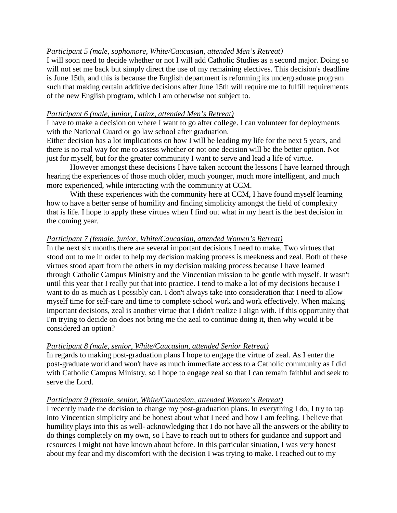## *Participant 5 (male, sophomore, White/Caucasian, attended Men's Retreat)*

I will soon need to decide whether or not I will add Catholic Studies as a second major. Doing so will not set me back but simply direct the use of my remaining electives. This decision's deadline is June 15th, and this is because the English department is reforming its undergraduate program such that making certain additive decisions after June 15th will require me to fulfill requirements of the new English program, which I am otherwise not subject to.

## *Participant 6 (male, junior, Latinx, attended Men's Retreat)*

I have to make a decision on where I want to go after college. I can volunteer for deployments with the National Guard or go law school after graduation.

Either decision has a lot implications on how I will be leading my life for the next 5 years, and there is no real way for me to assess whether or not one decision will be the better option. Not just for myself, but for the greater community I want to serve and lead a life of virtue.

However amongst these decisions I have taken account the lessons I have learned through hearing the experiences of those much older, much younger, much more intelligent, and much more experienced, while interacting with the community at CCM.

With these experiences with the community here at CCM, I have found myself learning how to have a better sense of humility and finding simplicity amongst the field of complexity that is life. I hope to apply these virtues when I find out what in my heart is the best decision in the coming year.

## *Participant 7 (female, junior, White/Caucasian, attended Women's Retreat)*

In the next six months there are several important decisions I need to make. Two virtues that stood out to me in order to help my decision making process is meekness and zeal. Both of these virtues stood apart from the others in my decision making process because I have learned through Catholic Campus Ministry and the Vincentian mission to be gentle with myself. It wasn't until this year that I really put that into practice. I tend to make a lot of my decisions because I want to do as much as I possibly can. I don't always take into consideration that I need to allow myself time for self-care and time to complete school work and work effectively. When making important decisions, zeal is another virtue that I didn't realize I align with. If this opportunity that I'm trying to decide on does not bring me the zeal to continue doing it, then why would it be considered an option?

## *Participant 8 (male, senior, White/Caucasian, attended Senior Retreat)*

In regards to making post-graduation plans I hope to engage the virtue of zeal. As I enter the post-graduate world and won't have as much immediate access to a Catholic community as I did with Catholic Campus Ministry, so I hope to engage zeal so that I can remain faithful and seek to serve the Lord.

## *Participant 9 (female, senior, White/Caucasian, attended Women's Retreat)*

I recently made the decision to change my post-graduation plans. In everything I do, I try to tap into Vincentian simplicity and be honest about what I need and how I am feeling. I believe that humility plays into this as well- acknowledging that I do not have all the answers or the ability to do things completely on my own, so I have to reach out to others for guidance and support and resources I might not have known about before. In this particular situation, I was very honest about my fear and my discomfort with the decision I was trying to make. I reached out to my